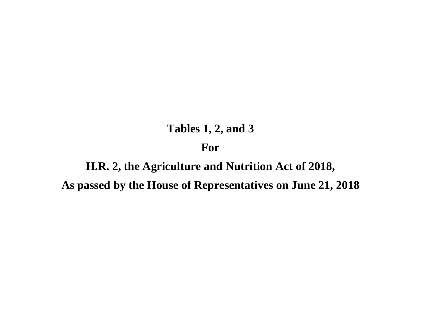## **Tables 1, 2, and 3 For**

# **H.R. 2, the Agriculture and Nutrition Act of 2018, As passed by the House of Representatives on June 21, 2018**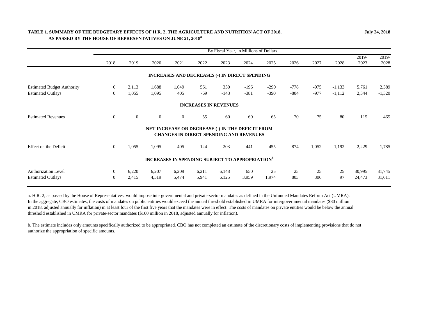## **TABLE 1. SUMMARY OF THE BUDGETARY EFFECTS OF H.R. 2, THE AGRICULTURE AND NUTRITION ACT OF 2018, AS PASSED BY THE HOUSE OF REPRESENTATIVES ON JUNE 21, 2018a**

|                                   |                |              |                                                                    |                |                              |        | By Fiscal Year, in Millions of Dollars                                                             |        |        |          |          |               |               |
|-----------------------------------|----------------|--------------|--------------------------------------------------------------------|----------------|------------------------------|--------|----------------------------------------------------------------------------------------------------|--------|--------|----------|----------|---------------|---------------|
|                                   | 2018           | 2019         | 2020                                                               | 2021           | 2022                         | 2023   | 2024                                                                                               | 2025   | 2026   | 2027     | 2028     | 2019-<br>2023 | 2019-<br>2028 |
|                                   |                |              |                                                                    |                |                              |        | <b>INCREASES AND DECREASES (-) IN DIRECT SPENDING</b>                                              |        |        |          |          |               |               |
| <b>Estimated Budget Authority</b> | $\overline{0}$ | 2,113        | 1,688                                                              | 1,049          | 561                          | 350    | $-196$                                                                                             | $-290$ | $-778$ | $-975$   | $-1,133$ | 5,761         | 2,389         |
| <b>Estimated Outlays</b>          | $\overline{0}$ | 1,055        | 1,095                                                              | 405            | $-69$                        | $-143$ | $-381$                                                                                             | $-390$ | $-804$ | $-977$   | $-1,112$ | 2,344         | $-1,320$      |
|                                   |                |              |                                                                    |                | <b>INCREASES IN REVENUES</b> |        |                                                                                                    |        |        |          |          |               |               |
| <b>Estimated Revenues</b>         | $\overline{0}$ | $\mathbf{0}$ | $\overline{0}$                                                     | $\overline{0}$ | 55                           | 60     | 60                                                                                                 | 65     | 70     | 75       | 80       | 115           | 465           |
|                                   |                |              |                                                                    |                |                              |        | NET INCREASE OR DECREASE (-) IN THE DEFICIT FROM<br><b>CHANGES IN DIRECT SPENDING AND REVENUES</b> |        |        |          |          |               |               |
| Effect on the Deficit             | $\Omega$       | 1,055        | 1,095                                                              | 405            | $-124$                       | $-203$ | $-441$                                                                                             | $-455$ | $-874$ | $-1,052$ | $-1,192$ | 2,229         | $-1,785$      |
|                                   |                |              | <b>INCREASES IN SPENDING SUBJECT TO APPROPRIATION</b> <sup>b</sup> |                |                              |        |                                                                                                    |        |        |          |          |               |               |
| <b>Authorization Level</b>        | $\overline{0}$ | 6,220        | 6,207                                                              | 6,209          | 6,211                        | 6,148  | 650                                                                                                | 25     | 25     | 25       | 25       | 30,995        | 31,745        |
| <b>Estimated Outlays</b>          | $\overline{0}$ | 2,415        | 4,519                                                              | 5,474          | 5,941                        | 6,125  | 3,959                                                                                              | 1,974  | 803    | 306      | 97       | 24,473        | 31,611        |

a. H.R. 2, as passed by the House of Representatives, would impose intergovernmental and private-sector mandates as defined in the Unfunded Mandates Reform Act (UMRA). In the aggregate, CBO estimates, the costs of mandates on public entities would exceed the annual threshold established in UMRA for intergovernmental mandates (\$80 million in 2018, adjusted annually for inflation) in at least four of the first five years that the mandates were in effect. The costs of mandates on private entities would be below the annual threshold established in UMRA for private-sector mandates (\$160 million in 2018, adjusted annually for inflation).

b. The estimate includes only amounts specifically authorized to be appropriated. CBO has not completed an estimate of the discretionary costs of implementing provisions that do not authorize the appropriation of specific amounts.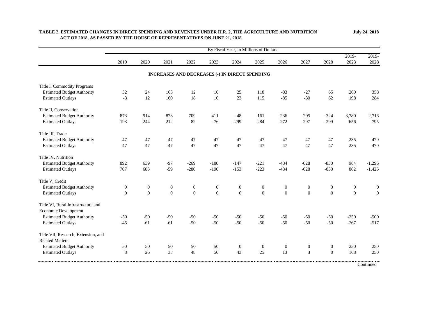|                                                               | By Fiscal Year, in Millions of Dollars |                  |                  |                                                |                  |                  |                  |                  |                  |                  |                  |                  |
|---------------------------------------------------------------|----------------------------------------|------------------|------------------|------------------------------------------------|------------------|------------------|------------------|------------------|------------------|------------------|------------------|------------------|
|                                                               | 2019                                   | 2020             | 2021             | 2022                                           | 2023             | 2024             | 2025             | 2026             | 2027             | 2028             | 2019-<br>2023    | 2019-<br>2028    |
|                                                               |                                        |                  |                  | INCREASES AND DECREASES (-) IN DIRECT SPENDING |                  |                  |                  |                  |                  |                  |                  |                  |
| Title I, Commodity Programs                                   |                                        |                  |                  |                                                |                  |                  |                  |                  |                  |                  |                  |                  |
| <b>Estimated Budget Authority</b>                             | 52                                     | 24               | 163              | 12                                             | 10               | 25               | 118              | $-83$            | $-27$            | 65               | 260              | 358              |
| <b>Estimated Outlays</b>                                      | $-3$                                   | 12               | 160              | 18                                             | 10               | 23               | 115              | $-85$            | $-30$            | 62               | 198              | 284              |
| Title II, Conservation                                        |                                        |                  |                  |                                                |                  |                  |                  |                  |                  |                  |                  |                  |
| <b>Estimated Budget Authority</b>                             | 873                                    | 914              | 873              | 709                                            | 411              | $-48$            | $-161$           | $-236$           | $-295$           | $-324$           | 3,780            | 2,716            |
| <b>Estimated Outlays</b>                                      | 193                                    | 244              | 212              | 82                                             | $-76$            | $-299$           | $-284$           | $-272$           | $-297$           | $-299$           | 656              | $-795$           |
| Title III, Trade                                              |                                        |                  |                  |                                                |                  |                  |                  |                  |                  |                  |                  |                  |
| <b>Estimated Budget Authority</b>                             | 47                                     | 47               | 47               | 47                                             | 47               | 47               | 47               | 47               | 47               | 47               | 235              | 470              |
| <b>Estimated Outlays</b>                                      | 47                                     | 47               | 47               | 47                                             | 47               | 47               | 47               | 47               | 47               | 47               | 235              | 470              |
| Title IV, Nutrition                                           |                                        |                  |                  |                                                |                  |                  |                  |                  |                  |                  |                  |                  |
| <b>Estimated Budget Authority</b>                             | 892                                    | 639              | $-97$            | $-269$                                         | $-180$           | $-147$           | $-221$           | $-434$           | $-628$           | $-850$           | 984              | $-1,296$         |
| <b>Estimated Outlays</b>                                      | 707                                    | 685              | $-59$            | $-280$                                         | $-190$           | $-153$           | $-223$           | $-434$           | $-628$           | $-850$           | 862              | $-1,426$         |
| Title V, Credit                                               |                                        |                  |                  |                                                |                  |                  |                  |                  |                  |                  |                  |                  |
| <b>Estimated Budget Authority</b>                             | $\boldsymbol{0}$                       | $\boldsymbol{0}$ | $\boldsymbol{0}$ | $\boldsymbol{0}$                               | $\boldsymbol{0}$ | $\boldsymbol{0}$ | $\boldsymbol{0}$ | $\boldsymbol{0}$ | $\boldsymbol{0}$ | $\boldsymbol{0}$ | $\boldsymbol{0}$ | $\boldsymbol{0}$ |
| <b>Estimated Outlays</b>                                      | $\overline{0}$                         | $\boldsymbol{0}$ | $\boldsymbol{0}$ | $\boldsymbol{0}$                               | $\boldsymbol{0}$ | $\boldsymbol{0}$ | $\boldsymbol{0}$ | $\boldsymbol{0}$ | $\boldsymbol{0}$ | $\boldsymbol{0}$ | $\boldsymbol{0}$ | $\boldsymbol{0}$ |
| Title VI, Rural Infrastructure and<br>Economic Development    |                                        |                  |                  |                                                |                  |                  |                  |                  |                  |                  |                  |                  |
| <b>Estimated Budget Authority</b>                             | $-50$                                  | $-50$            | $-50$            | $-50$                                          | $-50$            | $-50$            | $-50$            | $-50$            | $-50$            | $-50$            | $-250$           | $-500$           |
| <b>Estimated Outlays</b>                                      | $-45$                                  | $-61$            | $-61$            | $-50$                                          | $-50$            | $-50$            | $-50$            | $-50$            | $-50$            | $-50$            | $-267$           | $-517$           |
| Title VII, Research, Extension, and<br><b>Related Matters</b> |                                        |                  |                  |                                                |                  |                  |                  |                  |                  |                  |                  |                  |
| <b>Estimated Budget Authority</b>                             | 50                                     | 50               | 50               | 50                                             | 50               | $\boldsymbol{0}$ | $\boldsymbol{0}$ | $\boldsymbol{0}$ | $\boldsymbol{0}$ | $\boldsymbol{0}$ | 250              | 250              |
| <b>Estimated Outlays</b>                                      | $\,8\,$                                | 25               | 38               | 48                                             | 50               | 43               | 25               | 13               | $\mathfrak{Z}$   | $\mathbf{0}$     | 168              | 250              |
|                                                               |                                        |                  |                  |                                                |                  |                  |                  |                  |                  |                  |                  | Continued        |

## **TABLE 2. ESTIMATED CHANGES IN DIRECT SPENDING AND REVENUES UNDER H.R. 2, THE AGRICULTURE AND NUTRITION ACT OF 2018, AS PASSED BY THE HOUSE OF REPRESENTATIVES ON JUNE 21, 2018**

**July 24, 2018**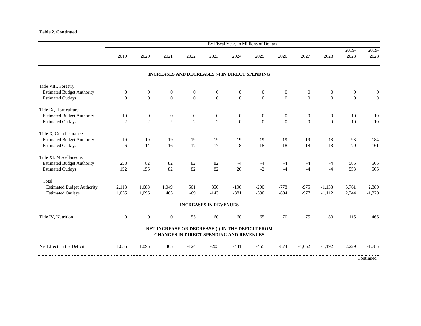|                                   | By Fiscal Year, in Millions of Dollars |                  |                                                                                             |                              |                  |              |                |                |                |                |                |                |  |
|-----------------------------------|----------------------------------------|------------------|---------------------------------------------------------------------------------------------|------------------------------|------------------|--------------|----------------|----------------|----------------|----------------|----------------|----------------|--|
|                                   | 2019                                   | 2020             | 2021                                                                                        | 2022                         | 2023             | 2024         | 2025           | 2026           | 2027           | 2028           | 2019-<br>2023  | 2019-<br>2028  |  |
|                                   |                                        |                  | <b>INCREASES AND DECREASES (-) IN DIRECT SPENDING</b>                                       |                              |                  |              |                |                |                |                |                |                |  |
| Title VIII, Forestry              |                                        |                  |                                                                                             |                              |                  |              |                |                |                |                |                |                |  |
| <b>Estimated Budget Authority</b> | $\boldsymbol{0}$                       | $\boldsymbol{0}$ | $\boldsymbol{0}$                                                                            | $\boldsymbol{0}$             | $\boldsymbol{0}$ | $\theta$     | $\overline{0}$ | $\overline{0}$ | $\overline{0}$ | $\overline{0}$ | $\overline{0}$ | $\overline{0}$ |  |
| <b>Estimated Outlays</b>          | $\overline{0}$                         | $\overline{0}$   | $\overline{0}$                                                                              | $\overline{0}$               | $\overline{0}$   | $\mathbf{0}$ | $\overline{0}$ | $\overline{0}$ | $\overline{0}$ | $\overline{0}$ | $\overline{0}$ | $\overline{0}$ |  |
| Title IX, Horticulture            |                                        |                  |                                                                                             |                              |                  |              |                |                |                |                |                |                |  |
| <b>Estimated Budget Authority</b> | 10                                     | $\boldsymbol{0}$ | $\boldsymbol{0}$                                                                            | $\mathbf{0}$                 | $\boldsymbol{0}$ | $\theta$     | $\overline{0}$ | $\overline{0}$ | $\overline{0}$ | $\overline{0}$ | 10             | 10             |  |
| <b>Estimated Outlays</b>          | $\mathbf{2}$                           | $\overline{2}$   | $\overline{2}$                                                                              | $\overline{2}$               | $\overline{2}$   | $\mathbf{0}$ | $\mathbf{0}$   | $\overline{0}$ | $\overline{0}$ | $\overline{0}$ | 10             | $10\,$         |  |
| Title X, Crop Insurance           |                                        |                  |                                                                                             |                              |                  |              |                |                |                |                |                |                |  |
| <b>Estimated Budget Authority</b> | $-19$                                  | $-19$            | $-19$                                                                                       | $-19$                        | $-19$            | $-19$        | $-19$          | $-19$          | $-19$          | $-18$          | $-93$          | $-184$         |  |
| <b>Estimated Outlays</b>          | $-6$                                   | $-14$            | $-16$                                                                                       | $-17$                        | $-17$            | $-18$        | $-18$          | $-18$          | $-18$          | $-18$          | $-70$          | $-161$         |  |
| Title XI, Miscellaneous           |                                        |                  |                                                                                             |                              |                  |              |                |                |                |                |                |                |  |
| <b>Estimated Budget Authority</b> | 258                                    | 82               | 82                                                                                          | 82                           | 82               | $-4$         | -4             | $-4$           | -4             | $-4$           | 585            | 566            |  |
| <b>Estimated Outlays</b>          | 152                                    | 156              | 82                                                                                          | 82                           | 82               | 26           | $-2$           | $-4$           | $-4$           | $-4$           | 553            | 566            |  |
| Total                             |                                        |                  |                                                                                             |                              |                  |              |                |                |                |                |                |                |  |
| <b>Estimated Budget Authority</b> | 2,113                                  | 1,688            | 1,049                                                                                       | 561                          | 350              | $-196$       | $-290$         | $-778$         | $-975$         | $-1,133$       | 5,761          | 2,389          |  |
| <b>Estimated Outlays</b>          | 1,055                                  | 1,095            | 405                                                                                         | $-69$                        | $-143$           | $-381$       | $-390$         | $-804$         | $-977$         | $-1,112$       | 2,344          | $-1,320$       |  |
|                                   |                                        |                  |                                                                                             | <b>INCREASES IN REVENUES</b> |                  |              |                |                |                |                |                |                |  |
| Title IV, Nutrition               | $\mathbf{0}$                           | $\overline{0}$   | $\boldsymbol{0}$                                                                            | 55                           | 60               | 60           | 65             | 70             | 75             | 80             | 115            | 465            |  |
|                                   |                                        |                  | NET INCREASE OR DECREASE (-) IN THE DEFICIT FROM<br>CHANGES IN DIRECT SPENDING AND REVENUES |                              |                  |              |                |                |                |                |                |                |  |
| Net Effect on the Deficit         | 1,055                                  | 1,095            | 405                                                                                         | $-124$                       | $-203$           | $-441$       | $-455$         | $-874$         | $-1,052$       | $-1,192$       | 2,229          | $-1,785$       |  |
|                                   |                                        |                  |                                                                                             |                              |                  |              |                |                |                |                |                | Continued      |  |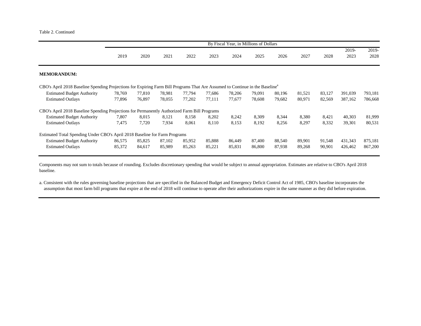|                                                                                                                                          | By Fiscal Year, in Millions of Dollars |        |        |        |        |        |        |        |        |        |         |         |  |
|------------------------------------------------------------------------------------------------------------------------------------------|----------------------------------------|--------|--------|--------|--------|--------|--------|--------|--------|--------|---------|---------|--|
|                                                                                                                                          |                                        |        |        |        |        |        |        |        |        |        | 2019-   | 2019-   |  |
|                                                                                                                                          | 2019                                   | 2020   | 2021   | 2022   | 2023   | 2024   | 2025   | 2026   | 2027   | 2028   | 2023    | 2028    |  |
| <b>MEMORANDUM:</b>                                                                                                                       |                                        |        |        |        |        |        |        |        |        |        |         |         |  |
| CBO's April 2018 Baseline Spending Projections for Expiring Farm Bill Programs That Are Assumed to Continue in the Baseline <sup>4</sup> |                                        |        |        |        |        |        |        |        |        |        |         |         |  |
| <b>Estimated Budget Authority</b>                                                                                                        | 78,769                                 | 77,810 | 78.981 | 77,794 | 77.686 | 78,206 | 79.091 | 80,196 | 81,521 | 83,127 | 391,039 | 793,181 |  |
| <b>Estimated Outlays</b>                                                                                                                 | 77,896                                 | 76,897 | 78,055 | 77,202 | 77.111 | 77,677 | 78,608 | 79,682 | 80,971 | 82,569 | 387,162 | 786,668 |  |
| CBO's April 2018 Baseline Spending Projections for Permanently Authorized Farm Bill Programs                                             |                                        |        |        |        |        |        |        |        |        |        |         |         |  |
| <b>Estimated Budget Authority</b>                                                                                                        | 7,807                                  | 8,015  | 8,121  | 8,158  | 8,202  | 8,242  | 8,309  | 8,344  | 8,380  | 8,421  | 40,303  | 81,999  |  |
| <b>Estimated Outlays</b>                                                                                                                 | 7,475                                  | 7,720  | 7,934  | 8,061  | 8,110  | 8,153  | 8,192  | 8,256  | 8,297  | 8,332  | 39,301  | 80,531  |  |
| Estimated Total Spending Under CBO's April 2018 Baseline for Farm Programs                                                               |                                        |        |        |        |        |        |        |        |        |        |         |         |  |
| <b>Estimated Budget Authority</b>                                                                                                        | 86,575                                 | 85,825 | 87,102 | 85,952 | 85,888 | 86,449 | 87,400 | 88,540 | 89,901 | 91,548 | 431,343 | 875,181 |  |
| <b>Estimated Outlays</b>                                                                                                                 | 85,372                                 | 84,617 | 85,989 | 85,263 | 85,221 | 85,831 | 86,800 | 87,938 | 89,268 | 90,901 | 426,462 | 867,200 |  |

Components may not sum to totals because of rounding. Excludes discretionary spending that would be subject to annual appropriation. Estimates are relative to CBO's April 2018 baseline.

a. Consistent with the rules governing baseline projections that are specified in the Balanced Budget and Emergency Deficit Control Act of 1985, CBO's baseline incorporates the assumption that most farm bill programs that expire at the end of 2018 will continue to operate after their authorizations expire in the same manner as they did before expiration.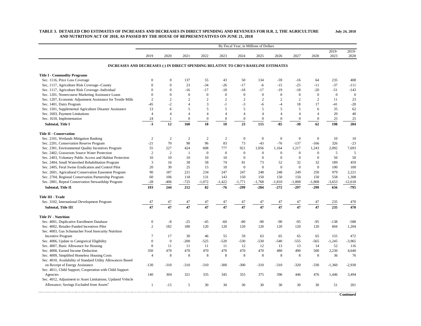|                                                                                     |                  |                |                  |                  |                  | By Fiscal Year, in Millions of Dollars |                  |                  |                  |                  |                 |                  |
|-------------------------------------------------------------------------------------|------------------|----------------|------------------|------------------|------------------|----------------------------------------|------------------|------------------|------------------|------------------|-----------------|------------------|
|                                                                                     | 2019             | 2020           | 2021             | 2022             | 2023             | 2024                                   | 2025             | 2026             | 2027             | 2028             | $2019-$<br>2023 | $2019-$<br>2028  |
| INCREASES AND DECREASES (-) IN DIRECT SPENDING RELATIVE TO CBO'S BASELINE ESTIMATES |                  |                |                  |                  |                  |                                        |                  |                  |                  |                  |                 |                  |
| <b>Title I - Commodity Programs</b>                                                 |                  |                |                  |                  |                  |                                        |                  |                  |                  |                  |                 |                  |
| Sec. 1116, Price Loss Coverage                                                      | $\mathbf{0}$     | $\theta$       | 137              | 55               | 43               | 50                                     | 134              | $-59$            | $-16$            | 64               | 235             | 408              |
| Sec, 1117, Agriculture Risk Coverage--County                                        | $\mathbf{0}$     | $\mathbf{0}$   | 23               | $-34$            | $-26$            | $-17$                                  | $-6$             | $-15$            | $-25$            | $-11$            | $-37$           | $-111$           |
| Sec. 1117, Agriculture Risk Coverage--Individual                                    | $\mathbf{0}$     | $\mathbf{0}$   | $-16$            | $-17$            | $-18$            | $-18$                                  | $-17$            | $-19$            | $-18$            | $-20$            | $-51$           | $-143$           |
| Sec. 1201, Nonrecourse Marketing Assistance Loans                                   | $\overline{0}$   | $\theta$       | $\overline{0}$   | $\mathbf{0}$     | $\overline{0}$   | $\overline{0}$                         | $\overline{0}$   | $\mathbf{0}$     | $\overline{0}$   | $\mathbf{0}$     | $\overline{0}$  | $\boldsymbol{0}$ |
| Sec. 1207, Economic Adjustment Assistance for Textile Mills                         | $\overline{c}$   | $\overline{2}$ | $\overline{2}$   | $\overline{c}$   | $\overline{c}$   | $\overline{2}$                         | $\overline{2}$   | $\overline{2}$   | $\overline{2}$   | 2                | 11              | 23               |
| Sec. 1401, Dairy Program                                                            | $-45$            | $-2$           | $\overline{A}$   | 3                | $-1$             | $-3$                                   | $-6$             | $-4$             | 18               | 17               | $-41$           | $-20$            |
| Sec. 1501, Supplemental Agriculture Disaster Assistance                             | 13               | 6              | 5                | 5                | 5                | 5                                      | 5                | 5                | 5                | 6                | 35              | 62               |
| Sec. 1603, Payment Limitations                                                      | $\overline{4}$   | $\overline{4}$ | $\overline{4}$   | $\overline{4}$   | $\overline{4}$   | $\overline{4}$                         | $\overline{4}$   | $\overline{4}$   | $\overline{4}$   | $\overline{4}$   | 20              | 40               |
| Sec. 1610, Implementation                                                           | 24               | $\mathbf{1}$   | $\boldsymbol{0}$ | $\boldsymbol{0}$ | $\boldsymbol{0}$ | $\boldsymbol{0}$                       | $\boldsymbol{0}$ | $\boldsymbol{0}$ | $\boldsymbol{0}$ | $\boldsymbol{0}$ | 25              | 25               |
| <b>Subtotal, Title I</b>                                                            | $-3$             | 12             | 160              | 18               | 10               | 23                                     | 115              | $-85$            | $-30$            | 62               | 198             | 284              |
|                                                                                     |                  |                |                  |                  |                  |                                        |                  |                  |                  |                  |                 |                  |
| <b>Title II - Conservation</b>                                                      |                  |                |                  |                  |                  |                                        |                  |                  |                  |                  |                 |                  |
| Sec. 2101, Wetlands Mitigation Banking                                              | $\sqrt{2}$       | $\overline{2}$ | $\overline{2}$   | 2                | $\overline{2}$   | $\boldsymbol{0}$                       | $\mathbf{0}$     | $\mathbf{0}$     | $\boldsymbol{0}$ | $\boldsymbol{0}$ | 10              | 10               |
| Sec. 2201, Conservation Reserve Program                                             | $-21$            | 70             | 98               | 96               | 83               | 73                                     | $-43$            | $-76$            | $-137$           | $-166$           | 326             | $-23$            |
| Sec. 2301, Environmental Quality Incentives Program                                 | 55               | 227            | 424              | 608              | 777              | 921                                    | 1,056            | 1,164            | 1,217            | 1,243            | 2,092           | 7,693            |
| Sec. 2402, Grassroots Source Water Protection                                       | $\overline{c}$   | $\overline{2}$ | $\mathbf{1}$     | $\mathbf{0}$     | $\theta$         | $\overline{0}$                         | $\mathbf{0}$     | $\mathbf{0}$     | $\mathbf{0}$     | $\mathbf{0}$     | 5               | 5                |
| Sec. 2403, Voluntary Public Access and Habitat Protection                           | 10               | 10             | 10               | 10               | 10               | $\overline{0}$                         | $\mathbf{0}$     | $\mathbf{0}$     | $\overline{0}$   | $\mathbf{0}$     | 50              | 50               |
| Sec. 2404, Small Watershed Rehabilitation Program                                   | 3                | 16             | 38               | 58               | 74               | 81                                     | 73               | 52               | 32               | 32               | 189             | 459              |
| Sec. 2405, Feral Swine Eradication and Control Pilot                                | 20               | 30             | 25               | 15               | 10               | $\overline{0}$                         | $\mathbf{0}$     | $\Omega$         | $\theta$         | $\theta$         | 100             | 100              |
| Sec. 2601, Agricultural Conservation Easement Program                               | 90               | 187            | 221              | 234              | 247              | 247                                    | 248              | 248              | 249              | 250              | 979             | 2,221            |
| Sec. 2704, Regional Conservation Partnership Program                                | 60               | 106            | 118              | 131              | 143              | 150                                    | 150              | 150              | 150              | 150              | 558             | 1,308            |
| Sec. 2801, Repeal Conservation Stewardship Program                                  | $-28$            | $-406$         | $-725$           | $-1,072$         | $-1,422$         | $-1,771$                               | $-1,768$         | $-1,810$         | $-1,808$         | $-1,808$         | $-3,653$        | $-12,618$        |
| Subtotal, Title II                                                                  | 193              | 244            | 212              | 82               | $-76$            | $-299$                                 | $-284$           | $-272$           | $-297$           | $-299$           | 656             | $-795$           |
| Title III - Trade                                                                   |                  |                |                  |                  |                  |                                        |                  |                  |                  |                  |                 |                  |
| Sec. 3102, International Development Program                                        | 47               | 47             | 47               | 47               | 47               |                                        | 47               | 47               | 47               | 47               | 235             | 470              |
| Subtotal, Title III                                                                 | 47               | 47             | $\overline{47}$  | 47               | 47               | $\frac{47}{47}$                        | $\overline{47}$  | $\overline{47}$  | $\overline{47}$  | 47               | 235             | 470              |
| <b>Title IV - Nutrition</b>                                                         |                  |                |                  |                  |                  |                                        |                  |                  |                  |                  |                 |                  |
| Sec. 4001, Duplicative Enrollment Database                                          | $\boldsymbol{0}$ | $-8$           | $-25$            | $-45$            | $-60$            | $-80$                                  | $-90$            | $-90$            | $-95$            | $-95$            | $-138$          | $-588$           |
| Sec. 4002, Retailer-Funded Incentives Pilot                                         | $\overline{c}$   | 182            | 180              | 120              | 120              | 120                                    | 120              | 120              | 120              | 120              | 604             | 1,204            |
| Sec. 4003, Gus Schumacher Food Insecurity Nutrition                                 |                  |                |                  |                  |                  |                                        |                  |                  |                  |                  |                 |                  |
| <b>Incentive Program</b>                                                            | 7                | 17             | 30               | 46               | 55               | 59                                     | 63               | 65               | 65               | 65               | 155             | 472              |
| Sec. 4006, Update to Categorical Eligibility                                        | $\overline{0}$   | $\overline{0}$ | $-200$           | $-525$           | $-520$           | $-530$                                 | $-530$           | $-540$           | $-555$           | $-565$           | $-1,245$        | $-3,965$         |
| Sec. 4007, Basic Allowance for Housing                                              | 8                | 11             | 11               | 11               | 11               | 12                                     | 12               | 13               | 13               | 14               | 52              | 116              |
| Sec. 4008, Earned Income Deduction                                                  | 350              | 470            | 470              | 470              | 470              | 470                                    | 470              | 480              | 490              | 500              | 2,230           | 4,640            |
| Sec. 4009, Simplified Homeless Housing Costs                                        | $\overline{4}$   | 8              | 8                | $\,8\,$          | 8                | 8                                      | 8                | 8                | 8                | $\,8\,$          | 36              | 76               |
| Sec. 4010, Availability of Standard Utility Allowances Based                        |                  |                |                  |                  |                  |                                        |                  |                  |                  |                  |                 |                  |
| on Receipt of Energy Assistance                                                     | $-130$           | $-310$         | $-310$           | $-310$           | $-300$           | $-300$                                 | $-310$           | $-310$           | $-320$           | $-330$           | $-1,360$        | $-2,930$         |
| Sec. 4011, Child Support; Cooperation with Child Support                            |                  |                |                  |                  |                  |                                        |                  |                  |                  |                  |                 |                  |
| Agencies                                                                            | 140              | 304            | 321              | 335              | 345              | 355                                    | 375              | 396              | 446              | 476              | 1,446           | 3,494            |
| Sec. 4012, Adjustment to Asset Limitations; Updated Vehicle                         |                  |                |                  |                  |                  |                                        |                  |                  |                  |                  |                 |                  |
|                                                                                     |                  |                |                  |                  |                  |                                        |                  |                  |                  |                  |                 |                  |
| Allowance; Savings Excluded from Assets <sup>a</sup>                                | $\mathbf{1}$     | $-15$          | 5                | 30               | 30               | 30                                     | 30               | 30               | 30               | 30               | 51              | 201              |

#### **TABLE 3. DETAILED CBO ESTIMATES OF INCREASES AND DECREASES IN DIRECT SPENDING AND REVENUES FOR H.R. 2, THE AGRICULTURE AND NUTRITION ACT OF 2018, AS PASSED BY THE HOUSE OF REPRESENTATIVES ON JUNE 21, 2018 July 24, 2018**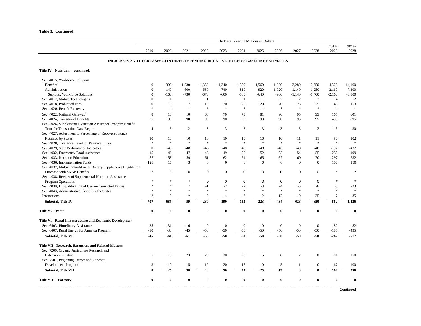| Table 3. Continued. |  |
|---------------------|--|
|---------------------|--|

|                                                                                                 | By Fiscal Year, in Millions of Dollars |              |             |                  |                |                |                  |                |                         |                  |                             |                 |  |
|-------------------------------------------------------------------------------------------------|----------------------------------------|--------------|-------------|------------------|----------------|----------------|------------------|----------------|-------------------------|------------------|-----------------------------|-----------------|--|
|                                                                                                 |                                        |              |             |                  |                |                |                  |                |                         |                  | 2019-                       | $2019-$         |  |
|                                                                                                 | 2019                                   | 2020         | 2021        | 2022             | 2023           | 2024           | 2025             | 2026           | 2027                    | 2028             | 2023                        | 2028            |  |
| INCREASES AND DECREASES (-) IN DIRECT SPENDING RELATIVE TO CBO'S BASELINE ESTIMATES             |                                        |              |             |                  |                |                |                  |                |                         |                  |                             |                 |  |
| Title IV - Nutrition -- continued.                                                              |                                        |              |             |                  |                |                |                  |                |                         |                  |                             |                 |  |
| Sec. 4015, Workforce Solutions                                                                  |                                        |              |             |                  |                |                |                  |                |                         |                  |                             |                 |  |
| <b>Benefits</b>                                                                                 | $\mathbf{0}$                           | $-300$       | $-1,330$    | $-1,350$         | $-1,340$       | $-1,370$       | $-1,560$         | $-1,920$       | $-2,280$                | $-2,650$         | $-4,320$                    | $-14,100$       |  |
| Administration                                                                                  | $\mathbf{0}$                           | 140          | 600         | 680              | 740            | 810            | 920              | 1,020          | 1,140                   | 1,250            | 2,160                       | 7,300           |  |
| Subtotal, Workforce Solutions                                                                   | $\mathbf{0}$                           | $-160$       | $-730$      | $-670$           | $-600$         | $-560$         | $-640$           | $-900$         | $-1,140$                | $-1,400$         | $-2,160$                    | $-6,800$        |  |
| Sec. 4017, Mobile Technologies                                                                  | $\mathbf{0}$                           | $\mathbf{1}$ | 1           | $\mathbf{1}$     | $\mathbf{1}$   | -1             | 1                | 2              | $\overline{c}$          | $\overline{2}$   | $\overline{4}$              | 12              |  |
| Sec. 4018, Prohibited Fees                                                                      | $\mathbf{0}$                           | 3            | $\tau$      | 13               | 20             | 20             | 20               | 20             | 25                      | 25               | 43                          | 153             |  |
| Sec. 4020, Benefit Recovery                                                                     | $\ast$                                 | $\approx$    | $\ast$      | $\ast$           | $\ast$         | $\ast$         | $\ast$           | $\ast$         | $\ast$                  | $\ast$           | $\frac{1}{2}$               | $\ast$          |  |
| Sec. 4022, National Gateway <sup>b</sup>                                                        | 8                                      | 10           | 10          | 68               | 70             | 78             | 81               | 90             | 95                      | 95               | 165                         | 601             |  |
| Sec. 4024, Transitional Benefits                                                                | 75                                     | 90           | 90          | 90               | 90             | 90             | 90               | 90             | 95                      | 95               | 435                         | 895             |  |
| Sec. 4026, Supplemental Nutrition Assistance Program Benefit                                    |                                        |              |             |                  |                |                |                  |                |                         |                  |                             |                 |  |
| <b>Transfer Transaction Data Report</b>                                                         | $\overline{4}$                         | 3            | 2           | 3                | $\overline{3}$ | 3              | 3                | 3              | 3                       | 3                | 15                          | 30              |  |
| Sec. 4027, Adjustment to Percentage of Recovered Funds                                          |                                        |              |             |                  |                |                |                  |                |                         |                  |                             |                 |  |
| <b>Retained by States</b>                                                                       | 10                                     | 10           | 10          | 10               | 10             | 10             | 10               | 10             | 11                      | 11               | 50                          | 102             |  |
| Sec. 4028, Tolerance Level for Payment Errors                                                   | $\frac{1}{2}$                          | $\ast$       | $\ast$      | $\ast$           | $\ast$         | $\ast$         | $\ast$           | $\ast$         | $\ast$                  | $\ast$           | $\ast$                      | $\ast$          |  |
| Sec. 4029, State Performance Indicators                                                         | $\mathbf{0}$                           | $-48$        | $-48$       | $-48$            | $-48$          | $-48$          | $-48$            | $-48$          | $-48$                   | $-48$            | $-192$                      | $-432$          |  |
| Sec. 4032, Emergency Food Assistance                                                            | 45                                     | 46           | 47          | 48               | 49             | 50             | 52               | 53             | 54                      | 55               | 235                         | 499             |  |
| Sec. 4033, Nutrition Education                                                                  | 57                                     | 58           | 59          | 61               | 62             | 64             | 65               | 67             | 69                      | 70               | 297                         | 632             |  |
| Sec. 4036, Implementation Funds                                                                 | 128                                    | 17           | 3           | 3                | $\mathbf{0}$   | $\mathbf{0}$   | $\boldsymbol{0}$ | $\mathbf{0}$   | $\mathbf{0}$            | $\mathbf{0}$     | 150                         | 150             |  |
|                                                                                                 |                                        |              |             |                  |                |                |                  |                |                         |                  |                             |                 |  |
| Sec. 4037, Multivitamin-Mineral Dietary Supplements Eligible for<br>Purchase with SNAP Benefits | $\star$                                | $\mathbf 0$  | $\mathbf 0$ | $\mathbf 0$      | 0              | $\mathbf 0$    | $\mathbf 0$      | $\mathbf 0$    | $\mathbf 0$             | 0                |                             |                 |  |
|                                                                                                 |                                        |              |             |                  |                |                |                  |                |                         |                  |                             |                 |  |
| Sec. 4038, Review of Supplemental Nutrition Assistance                                          |                                        |              |             | 0                | 0              | $\mathbf 0$    | $\mathbf 0$      | $\mathbf 0$    | $\mathbf 0$             | 0                |                             | $\star$         |  |
| <b>Program Operations</b>                                                                       |                                        |              |             | $-1$             |                |                | $-3$             |                |                         |                  |                             |                 |  |
| Sec. 4039, Disqualification of Certain Convicted Felons                                         | $\ast$                                 | $\ast$       | ×.          | $\ast$           | $-2$<br>×.     | $-2$<br>$\ast$ | $\ast$           | $-4$<br>$\ast$ | $-5$<br>×.              | $-6$<br>$\ast$   | $-3$<br>$\boldsymbol{\ast}$ | $-23$<br>$\ast$ |  |
| Sec. 4043, Administrative Flexibility for States                                                |                                        |              | $\ast$      |                  |                |                |                  |                |                         |                  |                             |                 |  |
| Interactions                                                                                    | $-2$                                   | $-3$         |             | $\overline{2}$   | $-4$           | $-3$           | $-2$             | 12             | 10                      | 25               | $-7$                        | 35              |  |
| <b>Subtotal, Title IV</b>                                                                       | 707                                    | 685          | $-59$       | $-280$           | $-190$         | $-153$         | $-223$           | $-434$         | $-628$                  | $-850$           | 862                         | $-1,426$        |  |
| Title V - Credit                                                                                | $\bf{0}$                               | $\bf{0}$     | $\bf{0}$    | $\bf{0}$         | $\bf{0}$       | $\bf{0}$       | $\boldsymbol{0}$ | $\bf{0}$       | $\bf{0}$                | $\bf{0}$         | $\bf{0}$                    | $\bf{0}$        |  |
| Title VI - Rural Infrastructure and Economic Development                                        |                                        |              |             |                  |                |                |                  |                |                         |                  |                             |                 |  |
| Sec, 6403, Biorefinery Assistance                                                               | $-35$                                  | $-31$        | $-16$       | $\boldsymbol{0}$ | $\mathbf{0}$   | $\mathbf{0}$   | $\boldsymbol{0}$ | $\mathbf{0}$   | $\mathbf{0}$            | $\boldsymbol{0}$ | $-82$                       | $-82$           |  |
| Sec. 6407, Rural Energy for America Program                                                     | $-10$                                  | $-30$        | -45         | $-50$            | $-50$          | $-50$          | $-50$            | $-50$          | $-50$                   | $-50$            | $-185$                      | $-435$          |  |
| <b>Subtotal, Title VI</b>                                                                       | $-45$                                  | $-61$        | -61         | $-50$            | $-50$          | $-50$          | $-50$            | $-50$          | $-50$                   | $-50$            | $-267$                      | $-517$          |  |
| Title VII - Research, Extension, and Related Matters                                            |                                        |              |             |                  |                |                |                  |                |                         |                  |                             |                 |  |
| Sec, 7209, Organic Agriculture Research and                                                     |                                        |              |             |                  |                |                |                  |                |                         |                  |                             |                 |  |
| <b>Extension Initiative</b>                                                                     | 5                                      | 15           | 23          | 29               | 30             | 26             | 15               | $\,8\,$        | $\overline{2}$          | $\boldsymbol{0}$ | 101                         | 150             |  |
| Sec. 7507, Beginning Farmer and Rancher                                                         |                                        |              |             |                  |                |                |                  |                |                         |                  |                             |                 |  |
| Development Program                                                                             | $\mathbf{3}$                           | 10           | 15          | 19               | 20             | 17             | 10               | 5              |                         | $\overline{0}$   | 67                          | 100             |  |
| Subtotal, Title VII                                                                             | 8                                      | 25           | 38          | 48               | 50             | 43             | 25               | 13             | $\overline{\mathbf{3}}$ | 0                | 168                         | 250             |  |
|                                                                                                 |                                        |              |             |                  |                |                |                  |                |                         |                  |                             |                 |  |
| <b>Title VIII - Forestry</b>                                                                    | $\bf{0}$                               | $\bf{0}$     | $\bf{0}$    | $\bf{0}$         | $\bf{0}$       | $\mathbf{0}$   | $\bf{0}$         | $\bf{0}$       | $\bf{0}$                | $\mathbf{0}$     | $\bf{0}$                    | $\bf{0}$        |  |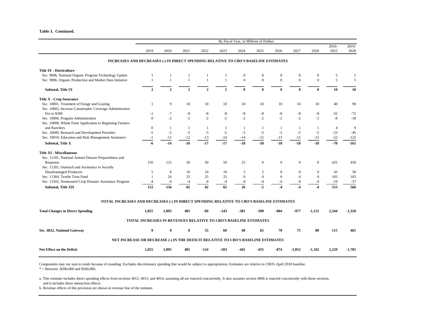**Table 3. Continued.**

|                                                                                           |                                                                  |              |              |                |                | By Fiscal Year, in Millions of Dollars |                  |              |              |                  |                |               |
|-------------------------------------------------------------------------------------------|------------------------------------------------------------------|--------------|--------------|----------------|----------------|----------------------------------------|------------------|--------------|--------------|------------------|----------------|---------------|
|                                                                                           | 2019                                                             | 2020         | 2021         | 2022           | 2023           | 2024                                   | 2025             | 2026         | 2027         | 2028             | 2019-<br>2023  | 2019-<br>2028 |
| INCREASES AND DECREASES (-) IN DIRECT SPENDING RELATIVE TO CBO'S BASELINE ESTIMATES       |                                                                  |              |              |                |                |                                        |                  |              |              |                  |                |               |
| <b>Title IX - Horticulture</b>                                                            |                                                                  |              |              |                |                |                                        |                  |              |              |                  |                |               |
| Sec. 9006, National Organic Program Technology Update                                     | $\mathbf{1}$                                                     | $\mathbf{1}$ |              | $\mathbf{1}$   | 1              | $\boldsymbol{0}$                       | $\mathbf{0}$     | $\mathbf{0}$ | $\mathbf{0}$ | $\boldsymbol{0}$ | 5              | 5             |
| Sec. 9006, Organic Production and Market Data Initiative                                  | $\mathbf{1}$                                                     | $\mathbf{1}$ | $\mathbf{1}$ | $\mathbf{1}$   | $\mathbf{1}$   | $\mathbf{0}$                           | $\mathbf{0}$     | $\mathbf{0}$ | $\Omega$     | $\theta$         | 5              | 5             |
| Subtotal, Title IX                                                                        | $\overline{2}$                                                   | $\mathbf{2}$ | $\mathbf{2}$ | $\overline{2}$ | $\overline{2}$ | $\bf{0}$                               | $\bf{0}$         | $\mathbf{0}$ | 0            | $\bf{0}$         | 10             | 10            |
| <b>Title X - Crop Insurance</b>                                                           |                                                                  |              |              |                |                |                                        |                  |              |              |                  |                |               |
| Sec. 10001, Treatment of Forage and Grazing                                               | 1                                                                | 9            | 10           | 10             | 10             | 10                                     | 10               | 10           | 10           | 10               | 40             | 90            |
| Sec. 10002, Increase Catastrophic Coverage Administrative                                 |                                                                  |              |              |                |                |                                        |                  |              |              |                  |                |               |
| Fee to \$500                                                                              | $-1$                                                             | $-7$         | $^{\rm -8}$  | $\text{-}8$    | $-8$           | $\mbox{-}8$                            | $-8$             | $\mbox{-}8$  | $-8$         | $\mbox{-}8$      | $-32$          | $-72$         |
| Sec. 10006, Program Administration                                                        | $\Omega$                                                         | $-2$         | $-2$         | $-2$           | $-2$           | $-2$                                   | $-2$             | $-2$         | $-2$         | $-2$             | $-8$           | $-18$         |
| Sec. 10008, Whole Farm Application to Beginning Farmers                                   |                                                                  |              |              |                |                |                                        |                  |              |              |                  |                |               |
| and Ranchers                                                                              | $\boldsymbol{0}$                                                 | -1           | 1            | 1              | -1             | 1                                      | -1               | -1           | 1            | -1               | $\overline{4}$ | 9             |
| Sec. 10009, Research and Development Priorities                                           | $-5$                                                             | $-5$         | $-5$         | $-5$           | $-5$           | $-5$                                   | $-5$             | $-5$         | $-5$         | $-5$             | $-23$          | $-45$         |
| Sec. 10010, Education and Risk Management Assistance                                      | $-1$                                                             | $-11$        | $-12$        | $-13$          | $-14$          | $-14$                                  | $-15$            | $-15$        | $-15$        | $-15$            | $-52$          | $-125$        |
| Subtotal, Title X                                                                         | -6                                                               | $-14$        | $-16$        | $-17$          | $-17$          | $-18$                                  | $-18$            | $-18$        | $-18$        | $-18$            | $-70$          | $-161$        |
| <b>Title XI - Miscellaneous</b>                                                           |                                                                  |              |              |                |                |                                        |                  |              |              |                  |                |               |
| Sec. 11101, National Animal Disease Preparedness and                                      |                                                                  |              |              |                |                |                                        |                  |              |              |                  |                |               |
| Response                                                                                  | 150                                                              | 125          | 50           | 50             | 50             | 25                                     | $\overline{0}$   | $\mathbf{0}$ | $\Omega$     | $\Omega$         | 425            | 450           |
| Sec. 11201, Outreach and Assistance to Socially                                           |                                                                  |              |              |                |                |                                        |                  |              |              |                  |                |               |
| <b>Disadvantaged Producers</b>                                                            | 5                                                                | 8            | 10           | 10             | 10             | 5                                      | $\mathfrak{2}$   | $\mathbf{0}$ | $\Omega$     | $\mathbf{0}$     | 43             | 50            |
| Sec. 11304, Textile Trust Fund                                                            | 1                                                                | 26           | 25           | 25             | 25             | $\boldsymbol{0}$                       | $\boldsymbol{0}$ | $\mathbf{0}$ | $\mathbf{0}$ | $\mathbf{0}$     | 103            | 103           |
| Sec. 11502, Noninsured Crop Disaster Assistance Program                                   | $-4$                                                             | $-4$         | $-4$         | $-4$           | $-4$           | $-4$                                   | $-4$             | $-4$         | -4           | $-4$             | $-19$          | $-37$         |
| Subtotal, Title XII                                                                       | 152                                                              | 156          | 82           | 82             | 82             | 26                                     | $-2$             |              |              |                  | 553            | 566           |
|                                                                                           |                                                                  |              |              |                |                |                                        |                  |              |              |                  |                |               |
| TOTAL INCREASES AND DECREASES (-) IN DIRECT SPENDING RELATIVE TO CBO'S BASELINE ESTIMATES |                                                                  |              |              |                |                |                                        |                  |              |              |                  |                |               |
| <b>Total Changes in Direct Spending</b>                                                   | 1,055                                                            | 1,095        | 405          | -69            | $-143$         | $-381$                                 | -390             | $-804$       | -977         | $-1,112$         | 2,344          | $-1,320$      |
|                                                                                           | TOTAL INCREASES IN REVENUES RELATIVE TO CBO'S BASELINE ESTIMATES |              |              |                |                |                                        |                  |              |              |                  |                |               |
| Sec. 4022, National Gateway                                                               | $\bf{0}$                                                         | $\mathbf{0}$ | $\bf{0}$     | 55             | 60             | 60                                     | 65               | 70           | 75           | 80               | 115            | 465           |
| NET INCREASE OR DECREASE (-) IN THE DEFICIT RELATIVE TO CBO'S BASELINE ESTIMATES          |                                                                  |              |              |                |                |                                        |                  |              |              |                  |                |               |
| <b>Net Effect on the Deficit</b>                                                          | 1,055                                                            | 1,095        | 405          | $-124$         | $-203$         | $-441$                                 | -455             | $-874$       | $-1,052$     | -1,192           | 2,229          | $-1,785$      |
|                                                                                           |                                                                  |              |              |                |                |                                        |                  |              |              |                  |                |               |

Components may not sum to totals because of rounding. Excludes discretionary spending that would be subject to appropriation. Estimates are relative to CBO's April 2018 baseline.

 $* =$  Between -\$500,000 and \$500,000.

a. This estimate includes direct spending effects from sections 4012, 4013, and 4014, assuming all are enacted concurrently. It also assumes section 4006 is enacted concurrently with those sections, and it includes those interaction effects.

b. Revenue effects of this provision are shown in revenue line of the estimate.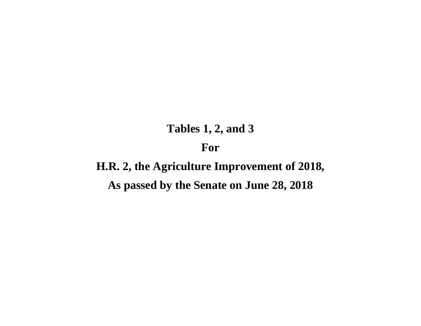# **Tables 1, 2, and 3 For**

# **H.R. 2, the Agriculture Improvement of 2018, As passed by the Senate on June 28, 2018**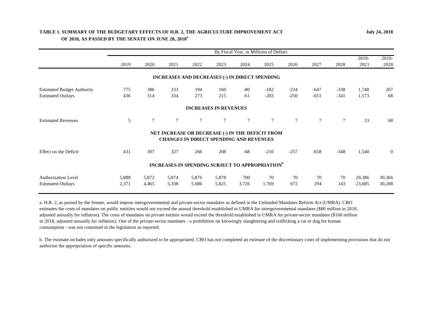## **TABLE 1. SUMMARY OF THE BUDGETARY EFFECTS OF H.R. 2, THE AGRICULTURE IMPROVEMENT ACT OF 2018, AS PASSED BY THE SENATE ON JUNE 28, 2018<sup>a</sup>**

|                                   | By Fiscal Year, in Millions of Dollars |            |            |                              |            |                                                                                                    |                  |                  |                  |                  |               |                |  |
|-----------------------------------|----------------------------------------|------------|------------|------------------------------|------------|----------------------------------------------------------------------------------------------------|------------------|------------------|------------------|------------------|---------------|----------------|--|
|                                   | 2019                                   | 2020       | 2021       | 2022                         | 2023       | 2024                                                                                               | 2025             | 2026             | 2027             | 2028             | 2019-<br>2023 | 2019-<br>2028  |  |
|                                   |                                        |            |            |                              |            | INCREASES AND DECREASES (-) IN DIRECT SPENDING                                                     |                  |                  |                  |                  |               |                |  |
| <b>Estimated Budget Authority</b> | 775<br>436                             | 386<br>314 | 233<br>334 | 194<br>273                   | 160<br>215 | $-80$<br>$-61$                                                                                     | $-182$<br>$-203$ | $-234$<br>$-250$ | $-647$<br>$-651$ | $-338$<br>$-341$ | 1,748         | 267<br>68      |  |
| <b>Estimated Outlays</b>          |                                        |            |            |                              |            |                                                                                                    |                  |                  |                  |                  | 1,573         |                |  |
|                                   |                                        |            |            | <b>INCREASES IN REVENUES</b> |            |                                                                                                    |                  |                  |                  |                  |               |                |  |
| <b>Estimated Revenues</b>         | 5                                      | 7          | 7          | 7                            | $\tau$     | 7                                                                                                  | $\tau$           | $\tau$           | $\tau$           | $\tau$           | 33            | 68             |  |
|                                   |                                        |            |            |                              |            | NET INCREASE OR DECREASE (-) IN THE DEFICIT FROM<br><b>CHANGES IN DIRECT SPENDING AND REVENUES</b> |                  |                  |                  |                  |               |                |  |
| Effect on the Deficit             | 431                                    | 307        | 327        | 266                          | 208        | $-68$                                                                                              | $-210$           | $-257$           | $-658$           | $-348$           | 1,540         | $\overline{0}$ |  |
|                                   |                                        |            |            |                              |            | <b>INCREASES IN SPENDING SUBJECT TO APPROPRIATION</b> <sup>b</sup>                                 |                  |                  |                  |                  |               |                |  |
| <b>Authorization Level</b>        | 5,888                                  | 5,872      | 5,874      | 5,876                        | 5,878      | 700                                                                                                | 70               | 70               | 70               | 70               | 29,386        | 30,366         |  |
| <b>Estimated Outlays</b>          | 2,371                                  | 4,465      | 5,338      | 5,686                        | 5,825      | 3,726                                                                                              | 1,769            | 672              | 294              | 143              | 23,685        | 30,288         |  |

a. H.R. 2, as passed by the Senate, would impose intergovernmental and private-sector mandates as defined in the Unfunded Mandates Reform Act (UMRA). CBO estimates the costs of mandates on public entitites would not exceed the annual threshold established in UMRA for intergovernmental mandates (\$80 million in 2018, adjusted annually for inflation). The costs of mandates on private entities would exceed the threshold established in UMRA for private-sector mandates (\$160 million in 2018, adjusted annually for inflation). One of the private-sector mandates - a prohibition on knowingly slaughtering and trafficking a cat or dog for human consumption - was not contained in the legislation as reported.

b. The estimate includes only amounts specifically authorized to be appropriated. CBO has not completed an estimate of the discretionary costs of implementing provisions that do not authorize the appropriation of specific amounts.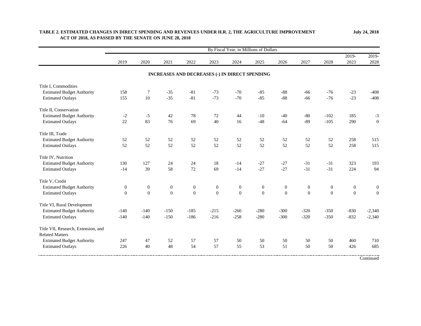|                                     |                  |                  |                  |                  |                                                |                  | By Fiscal Year, in Millions of Dollars |                  |                  |                  |                  |                  |
|-------------------------------------|------------------|------------------|------------------|------------------|------------------------------------------------|------------------|----------------------------------------|------------------|------------------|------------------|------------------|------------------|
|                                     | 2019             | 2020             | 2021             | 2022             | 2023                                           | 2024             | 2025                                   | 2026             | 2027             | 2028             | 2019-<br>2023    | 2019-<br>2028    |
|                                     |                  |                  |                  |                  |                                                |                  |                                        |                  |                  |                  |                  |                  |
|                                     |                  |                  |                  |                  | INCREASES AND DECREASES (-) IN DIRECT SPENDING |                  |                                        |                  |                  |                  |                  |                  |
| Title I, Commodities                |                  |                  |                  |                  |                                                |                  |                                        |                  |                  |                  |                  |                  |
| <b>Estimated Budget Authority</b>   | 158              | 7                | $-35$            | $-81$            | $-73$                                          | $-70$            | $-85$                                  | $-88$            | -66              | $-76$            | $-23$            | $-408$           |
| <b>Estimated Outlays</b>            | 155              | 10               | $-35$            | $-81$            | $-73$                                          | $-70$            | $-85$                                  | $-88$            | $-66$            | $-76$            | $-23$            | $-408$           |
| Title II, Conservation              |                  |                  |                  |                  |                                                |                  |                                        |                  |                  |                  |                  |                  |
| <b>Estimated Budget Authority</b>   | $-2$             | $-5$             | 42               | 78               | 72                                             | 44               | $-10$                                  | $-40$            | $-80$            | $-102$           | 185              | $-3$             |
| <b>Estimated Outlays</b>            | 22               | 83               | 76               | 69               | 40                                             | 16               | $-48$                                  | $-64$            | $-89$            | $-105$           | 290              | $\boldsymbol{0}$ |
| Title III, Trade                    |                  |                  |                  |                  |                                                |                  |                                        |                  |                  |                  |                  |                  |
| <b>Estimated Budget Authority</b>   | 52               | 52               | 52               | 52               | 52                                             | 52               | 52                                     | 52               | 52               | 52               | 258              | 515              |
| <b>Estimated Outlays</b>            | 52               | 52               | 52               | 52               | 52                                             | 52               | 52                                     | 52               | 52               | 52               | 258              | 515              |
| Title IV, Nutrition                 |                  |                  |                  |                  |                                                |                  |                                        |                  |                  |                  |                  |                  |
| <b>Estimated Budget Authority</b>   | 130              | 127              | 24               | 24               | 18                                             | $-14$            | $-27$                                  | $-27$            | $-31$            | $-31$            | 323              | 193              |
| <b>Estimated Outlays</b>            | $-14$            | 39               | 58               | 72               | 69                                             | $-14$            | $-27$                                  | $-27$            | $-31$            | $-31$            | 224              | 94               |
| Title V, Credit                     |                  |                  |                  |                  |                                                |                  |                                        |                  |                  |                  |                  |                  |
| <b>Estimated Budget Authority</b>   | $\boldsymbol{0}$ | $\boldsymbol{0}$ | $\boldsymbol{0}$ | $\boldsymbol{0}$ | $\mathbf{0}$                                   | $\boldsymbol{0}$ | $\boldsymbol{0}$                       | $\boldsymbol{0}$ | $\boldsymbol{0}$ | $\boldsymbol{0}$ | $\boldsymbol{0}$ | $\boldsymbol{0}$ |
| <b>Estimated Outlays</b>            | $\theta$         | $\overline{0}$   | $\overline{0}$   | $\overline{0}$   | $\overline{0}$                                 | $\overline{0}$   | $\mathbf{0}$                           | $\overline{0}$   | $\mathbf{0}$     | $\overline{0}$   | $\overline{0}$   | $\mathbf{0}$     |
| Title VI, Rural Development         |                  |                  |                  |                  |                                                |                  |                                        |                  |                  |                  |                  |                  |
| <b>Estimated Budget Authority</b>   | $-140$           | $-140$           | $-150$           | $-185$           | $-215$                                         | $-260$           | $-280$                                 | $-300$           | $-320$           | $-350$           | $-830$           | $-2,340$         |
| <b>Estimated Outlays</b>            | $-140$           | $-140$           | $-150$           | $-186$           | $-216$                                         | $-258$           | $-280$                                 | $-300$           | $-320$           | $-350$           | $-832$           | $-2,340$         |
| Title VII, Research, Extension, and |                  |                  |                  |                  |                                                |                  |                                        |                  |                  |                  |                  |                  |
| <b>Related Matters</b>              |                  |                  |                  |                  |                                                |                  |                                        |                  |                  |                  |                  |                  |
| <b>Estimated Budget Authority</b>   | 247              | 47               | 52               | 57               | 57                                             | 50               | 50                                     | 50               | 50               | 50               | 460              | 710              |
| <b>Estimated Outlays</b>            | 226              | 40               | 48               | 54               | 57                                             | 55               | 53                                     | 51               | 50               | 50               | 426              | 685              |
|                                     |                  |                  |                  |                  |                                                |                  |                                        |                  |                  |                  |                  | Continued        |

## **TABLE 2. ESTIMATED CHANGES IN DIRECT SPENDING AND REVENUES UNDER H.R. 2, THE AGRICULTURE IMPROVEMENT ACT OF 2018, AS PASSED BY THE SENATE ON JUNE 28, 2018**

**July 24, 2018**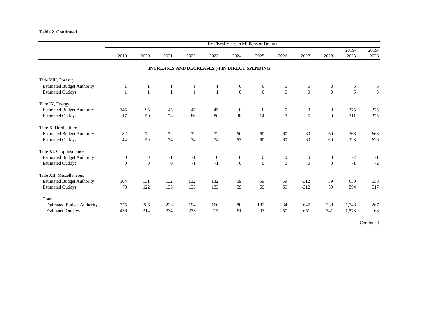#### **Table 2. Continued**

|                                   | By Fiscal Year, in Millions of Dollars |                |              |              |                                                       |                |                |                |                |                  |               |               |  |  |
|-----------------------------------|----------------------------------------|----------------|--------------|--------------|-------------------------------------------------------|----------------|----------------|----------------|----------------|------------------|---------------|---------------|--|--|
|                                   | 2019                                   | 2020           | 2021         | 2022         | 2023                                                  | 2024           | 2025           | 2026           | 2027           | 2028             | 2019-<br>2023 | 2019-<br>2028 |  |  |
|                                   |                                        |                |              |              | <b>INCREASES AND DECREASES (-) IN DIRECT SPENDING</b> |                |                |                |                |                  |               |               |  |  |
| Title VIII, Forestry              |                                        |                |              |              |                                                       |                |                |                |                |                  |               |               |  |  |
| <b>Estimated Budget Authority</b> |                                        |                | 1            | 1            | 1                                                     | $\mathbf{0}$   | $\mathbf{0}$   | $\mathbf{0}$   | $\mathbf{0}$   | $\mathbf{0}$     | 5             | 5             |  |  |
| <b>Estimated Outlays</b>          |                                        | $\mathbf{1}$   | $\mathbf{1}$ | $\mathbf{1}$ | $\mathbf{1}$                                          | $\overline{0}$ | $\overline{0}$ | $\overline{0}$ | $\overline{0}$ | $\overline{0}$   | 5             | 5             |  |  |
| Title IX, Energy                  |                                        |                |              |              |                                                       |                |                |                |                |                  |               |               |  |  |
| <b>Estimated Budget Authority</b> | 145                                    | 95             | 45           | 45           | 45                                                    | $\overline{0}$ | $\mathbf{0}$   | $\mathbf{0}$   | $\mathbf{0}$   | $\mathbf{0}$     | 375           | 375           |  |  |
| <b>Estimated Outlays</b>          | 17                                     | 50             | 78           | 86           | 80                                                    | 38             | 14             | $\overline{7}$ | 5              | $\overline{0}$   | 311           | 375           |  |  |
| Title X, Horticulture             |                                        |                |              |              |                                                       |                |                |                |                |                  |               |               |  |  |
| <b>Estimated Budget Authority</b> | 82                                     | 72             | 72           | 72           | 72                                                    | 60             | 60             | 60             | 60             | 60               | 368           | 668           |  |  |
| <b>Estimated Outlays</b>          | 44                                     | 59             | 74           | 74           | 74                                                    | 63             | 60             | 60             | 60             | 60               | 323           | 626           |  |  |
| Title XI, Crop Insurance          |                                        |                |              |              |                                                       |                |                |                |                |                  |               |               |  |  |
| <b>Estimated Budget Authority</b> | $\boldsymbol{0}$                       | $\overline{0}$ | $-1$         | $-1$         | $\mathbf{0}$                                          | $\overline{0}$ | $\mathbf{0}$   | $\mathbf{0}$   | $\mathbf{0}$   | $\boldsymbol{0}$ | $-2$          | $-1$          |  |  |
| <b>Estimated Outlays</b>          | $\Omega$                               | $\Omega$       | $\Omega$     | $-1$         | $-1$                                                  | $\Omega$       | $\Omega$       | $\Omega$       | $\Omega$       | $\Omega$         | $-1$          | $-2$          |  |  |
| Title XII, Miscellaneous          |                                        |                |              |              |                                                       |                |                |                |                |                  |               |               |  |  |
| <b>Estimated Budget Authority</b> | 104                                    | 131            | 132          | 132          | 132                                                   | 59             | 59             | 59             | $-312$         | 59               | 630           | 553           |  |  |
| <b>Estimated Outlays</b>          | 73                                     | 122            | 133          | 133          | 133                                                   | 59             | 59             | 59             | $-312$         | 59               | 594           | 517           |  |  |
| Total                             |                                        |                |              |              |                                                       |                |                |                |                |                  |               |               |  |  |
| <b>Estimated Budget Authority</b> | 775                                    | 386            | 233          | 194          | 160                                                   | $-80$          | $-182$         | $-234$         | $-647$         | $-338$           | 1,748         | 267           |  |  |
| <b>Estimated Outlays</b>          | 436                                    | 314            | 334          | 273          | 215                                                   | $-61$          | $-203$         | $-250$         | $-651$         | $-341$           | 1,573         | 68            |  |  |
|                                   |                                        |                |              |              |                                                       |                |                |                |                |                  |               |               |  |  |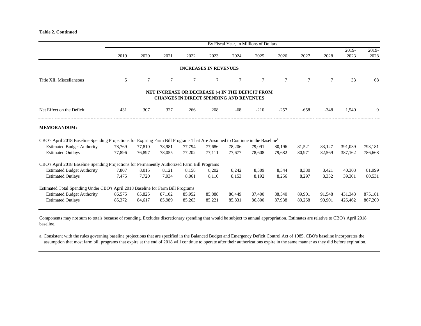#### **Table 2. Continued**

|                                                                                                                                          |        |        |                |        |                                                                                                    | By Fiscal Year, in Millions of Dollars |        |        |        |        |               |                |
|------------------------------------------------------------------------------------------------------------------------------------------|--------|--------|----------------|--------|----------------------------------------------------------------------------------------------------|----------------------------------------|--------|--------|--------|--------|---------------|----------------|
|                                                                                                                                          | 2019   | 2020   | 2021           | 2022   | 2023                                                                                               | 2024                                   | 2025   | 2026   | 2027   | 2028   | 2019-<br>2023 | 2019-<br>2028  |
|                                                                                                                                          |        |        |                |        | <b>INCREASES IN REVENUES</b>                                                                       |                                        |        |        |        |        |               |                |
| Title XII, Miscellaneous                                                                                                                 | 5      | $\tau$ | $\overline{7}$ | 7      |                                                                                                    | $\tau$                                 | $\tau$ | $\tau$ | $\tau$ | $\tau$ | 33            | 68             |
|                                                                                                                                          |        |        |                |        | NET INCREASE OR DECREASE (-) IN THE DEFICIT FROM<br><b>CHANGES IN DIRECT SPENDING AND REVENUES</b> |                                        |        |        |        |        |               |                |
| Net Effect on the Deficit                                                                                                                | 431    | 307    | 327            | 266    | 208                                                                                                | $-68$                                  | $-210$ | $-257$ | $-658$ | $-348$ | 1,540         | $\overline{0}$ |
| <b>MEMORANDUM:</b>                                                                                                                       |        |        |                |        |                                                                                                    |                                        |        |        |        |        |               |                |
| CBO's April 2018 Baseline Spending Projections for Expiring Farm Bill Programs That Are Assumed to Continue in the Baseline <sup>a</sup> |        |        |                |        |                                                                                                    |                                        |        |        |        |        |               |                |
| <b>Estimated Budget Authority</b>                                                                                                        | 78,769 | 77,810 | 78.981         | 77,794 | 77,686                                                                                             | 78,206                                 | 79.091 | 80,196 | 81,521 | 83,127 | 391,039       | 793,181        |
| <b>Estimated Outlays</b>                                                                                                                 | 77,896 | 76,897 | 78,055         | 77,202 | 77.111                                                                                             | 77,677                                 | 78.608 | 79,682 | 80,971 | 82,569 | 387,162       | 786,668        |
| CBO's April 2018 Baseline Spending Projections for Permanently Authorized Farm Bill Programs                                             |        |        |                |        |                                                                                                    |                                        |        |        |        |        |               |                |
| <b>Estimated Budget Authority</b>                                                                                                        | 7,807  | 8,015  | 8,121          | 8,158  | 8,202                                                                                              | 8,242                                  | 8,309  | 8,344  | 8,380  | 8,421  | 40,303        | 81,999         |
| <b>Estimated Outlays</b>                                                                                                                 | 7.475  | 7,720  | 7,934          | 8,061  | 8,110                                                                                              | 8,153                                  | 8,192  | 8,256  | 8,297  | 8,332  | 39,301        | 80,531         |
| Estimated Total Spending Under CBO's April 2018 Baseline for Farm Bill Programs                                                          |        |        |                |        |                                                                                                    |                                        |        |        |        |        |               |                |
| <b>Estimated Budget Authority</b>                                                                                                        | 86,575 | 85,825 | 87,102         | 85,952 | 85,888                                                                                             | 86,449                                 | 87,400 | 88,540 | 89,901 | 91,548 | 431,343       | 875,181        |
| <b>Estimated Outlays</b>                                                                                                                 | 85,372 | 84,617 | 85,989         | 85,263 | 85,221                                                                                             | 85,831                                 | 86,800 | 87,938 | 89,268 | 90,901 | 426,462       | 867,200        |

Components may not sum to totals because of rounding. Excludes discretionary spending that would be subject to annual appropriation. Estimates are relative to CBO's April 2018 baseline.

a. Consistent with the rules governing baseline projections that are specified in the Balanced Budget and Emergency Deficit Control Act of 1985, CBO's baseline incorporates the assumption that most farm bill programs that expire at the end of 2018 will continue to operate after their authorizations expire in the same manner as they did before expiration.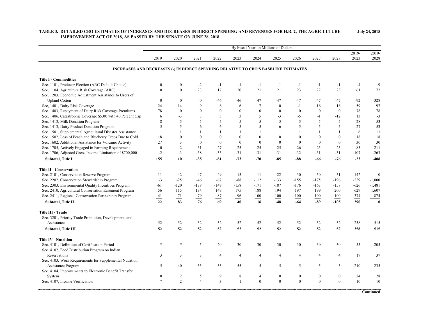|                                                                                     | By Fiscal Year, in Millions of Dollars |                                  |                         |                     |                 |                 |                              |                              |                              |                                  |                  |                  |
|-------------------------------------------------------------------------------------|----------------------------------------|----------------------------------|-------------------------|---------------------|-----------------|-----------------|------------------------------|------------------------------|------------------------------|----------------------------------|------------------|------------------|
|                                                                                     | 2019                                   | 2020                             | 2021                    | 2022                | 2023            | 2024            | 2025                         | 2026                         | 2027                         | 2028                             | $2019 -$<br>2023 | $2019 -$<br>2028 |
| INCREASES AND DECREASES (-) IN DIRECT SPENDING RELATIVE TO CBO'S BASELINE ESTIMATES |                                        |                                  |                         |                     |                 |                 |                              |                              |                              |                                  |                  |                  |
| <b>Title I - Commodities</b>                                                        |                                        |                                  |                         |                     |                 |                 |                              |                              |                              |                                  |                  |                  |
| Sec. 1101, Producer Election (ARC Default Choice)                                   | $\theta$                               | $\mathbf{0}$                     | $-2$                    | $-1$                | $-1$            | $-1$            | $-1$                         | $-1$                         | -1                           | $-1$                             | $-4$             | -9               |
| Sec. 1104, Agriculture Risk Coverage (ARC)                                          | $\Omega$                               | $\theta$                         | 23                      | 17                  | 20              | 21              | 21                           | 23                           | 22                           | 23                               | 61               | 172              |
| Sec. 1203, Economic Adjustment Assistance to Users of                               |                                        |                                  |                         |                     |                 |                 |                              |                              |                              |                                  |                  |                  |
| <b>Upland Cotton</b>                                                                | $\overline{0}$                         | $\mathbf{0}$                     | $\mathbf{0}$            | -46                 | -46             | $-47$           | $-47$                        | $-47$                        | $-47$                        | $-47$                            | $-92$            | $-328$           |
| Sec, 1401, Dairy Risk Coverage                                                      | 24                                     | 14                               | $\mathbf{Q}$            | 6                   | 6               | $\overline{7}$  | $\mathbf{0}$                 | $-1$                         | 16                           | 16                               | 59               | 97               |
| Sec. 1403, Repayment of Dairy Risk Coverage Premiums                                | 78                                     | $\mathbf{0}$                     | $\Omega$                | $\mathbf{0}$        | $\overline{0}$  | $\mathbf{0}$    | $\mathbf{0}$                 | $\mathbf{0}$                 | $\mathbf{0}$                 | $\mathbf{0}$                     | 78               | 78               |
| Sec. 1406, Catastrophic Coverage \$5.00 with 40 Percent Cap                         | 6                                      | $-3$                             | 3                       | $\overline{3}$      | 3               | 5               | $-3$                         | $-5$                         | $-1$                         | $-12$                            | 13               | $-3$             |
| Sec. 1413, Milk Donation Program                                                    | 8                                      | 5                                | 5                       | 5                   | 5               | 5               | 5                            | 5                            | 5                            | 5                                | 28               | 53               |
| Sec. 1413, Dairy Product Donation Program                                           | $-5$                                   | $-5$                             | $-6$                    | -6                  | $-5$            | $-5$            | $-6$                         | $-5$                         | $-5$                         | $-5$                             | $-27$            | $-53$            |
| Sec. 1501, Supplemental Agricultural Disaster Assistance                            | $\mathbf{1}$                           | $\mathbf{1}$                     | $\mathbf{1}$            | $\mathbf{1}$        | $\mathbf{1}$    | $\mathbf{1}$    | $\overline{1}$               | $\mathbf{1}$                 | $\overline{1}$               | $\mathbf{1}$                     | 6                | 11               |
| Sec. 1502, Loss of Peach and Blueberry Crops Due to Cold                            | 18                                     | $\theta$                         | $\theta$                | $\theta$            | $\overline{0}$  | $\mathbf{0}$    | $\mathbf{0}$                 | $\mathbf{0}$                 | $\theta$                     | $\mathbf{0}$                     | 18               | 18               |
| Sec. 1602, Additional Assistance for Volcanic Activity                              | 27                                     | 3                                | $\theta$                | $\mathbf{0}$        | $\overline{0}$  | $\mathbf{0}$    | $\mathbf{0}$                 | $\mathbf{0}$                 | $\mathbf{0}$                 | $\mathbf{0}$                     | 30               | 30               |
| Sec. 1705, Actively Engaged in Farming Requirement                                  | $\mathbf{0}$                           | $-2$                             | $-31$                   | $-27$               | $-25$           | $-25$           | $-25$                        | $-26$                        | $-25$                        | $-25$                            | $-85$            | $-211$           |
| Sec. 1706, Adjusted Gross Income Limitation of \$700,000                            | $-2$                                   | $-3$                             | $-38$                   | $-33$               | $-31$           | $-31$           | $-31$                        | $-32$                        | $-31$                        | $-31$                            | $-107$           | $-263$           |
| Subtotal, Title I                                                                   | 155                                    | 10                               | $-35$                   | $-81$               | $-73$           | $-70$           | $-85$                        | $-88$                        | $-66$                        | $-76$                            | $-23$            | $-408$           |
|                                                                                     |                                        |                                  |                         |                     |                 |                 |                              |                              |                              |                                  |                  |                  |
| <b>Title II - Conservation</b>                                                      |                                        |                                  |                         |                     |                 |                 |                              |                              |                              |                                  |                  |                  |
| Sec. 2101, Conservation Reserve Program                                             | $-11$                                  | 42                               | 47                      | 49                  | 15              | 11              | $-22$                        | $-30$                        | $-50$                        | $-51$                            | 142              | $\mathbf{0}$     |
| Sec. 2202, Conservation Stewardship Program                                         | $-3$                                   | $-25$                            | $-46$                   | $-67$               | $-88$           | $-112$          | $-133$                       | $-155$                       | $-175$                       | $-196$                           | $-229$           | $-1,000$         |
| Sec. 2303, Environmental Quality Incentives Program                                 | $-61$                                  | $-120$                           | $-138$                  | $-149$              | $-158$          | $-171$          | $-187$                       | $-176$                       | $-163$                       | $-158$                           | $-626$           | $-1,481$         |
| Sec. 2410, Agricultural Conservation Easement Program                               | 56                                     | 115                              | 134                     | 149                 | 175             | 188             | 194                          | 197                          | 199                          | 200                              | 629              | 1,607            |
| Sec. 2411, Regional Conservation Partnership Program                                | 41                                     | 71                               | 79                      | 87                  | 96              | 100             | 100                          | 100                          | 100                          | 100                              | 374              | 874              |
| Subtotal, Title II                                                                  | 22                                     | $\overline{83}$                  | $\overline{76}$         | 69                  | 40              | 16              | $-48$                        | $-64$                        | $-89$                        | $-105$                           | 290              | $\bf{0}$         |
| <b>Title III - Trade</b>                                                            |                                        |                                  |                         |                     |                 |                 |                              |                              |                              |                                  |                  |                  |
| Sec. 3201, Priority Trade Promotion, Development, and                               |                                        |                                  |                         |                     |                 |                 |                              |                              |                              |                                  |                  |                  |
| Assistance                                                                          |                                        |                                  |                         |                     |                 |                 |                              |                              |                              |                                  | 258              | 515              |
| <b>Subtotal, Title III</b>                                                          | $\frac{52}{52}$                        | $\frac{52}{52}$                  | $\frac{52}{52}$         | $\frac{52}{52}$     | $\frac{52}{52}$ | $\frac{52}{52}$ | $\frac{52}{52}$              | $\frac{52}{52}$              | $\frac{52}{52}$              | $\frac{52}{52}$                  | 258              | 515              |
| <b>Title IV - Nutrition</b>                                                         |                                        |                                  |                         |                     |                 |                 |                              |                              |                              |                                  |                  |                  |
| Sec. 4101, Definition of Certification Period                                       |                                        |                                  | 5                       | 20                  | 30              | 30              | 30                           | 30                           | 30                           | 30                               | 55               | 205              |
|                                                                                     |                                        |                                  |                         |                     |                 |                 |                              |                              |                              |                                  |                  |                  |
| Sec. 4102, Food Distribution Program on Indian<br>Reservations                      | 3                                      | 3                                | $\overline{\mathbf{3}}$ | $\overline{4}$      |                 |                 |                              | $\overline{4}$               |                              |                                  | 17               | 37               |
|                                                                                     |                                        |                                  |                         |                     | 4               | $\overline{4}$  | $\overline{4}$               |                              | 4                            | $\overline{4}$                   |                  |                  |
| Sec. 4103, Work Requirements for Supplemental Nutrition                             |                                        |                                  |                         |                     |                 |                 | 5                            | 5                            | 5                            |                                  |                  |                  |
| Assistance Program                                                                  | 5                                      | 40                               | 55                      | 55                  | 55              | 5               |                              |                              |                              | 5                                | 210              | 235              |
| Sec. 4104, Improvements to Electronic Benefit Transfer                              |                                        |                                  |                         |                     |                 |                 |                              |                              |                              |                                  |                  |                  |
| System                                                                              | $\mathbf{0}$<br>$\ast$                 | $\overline{c}$<br>$\overline{2}$ | 5                       | 9<br>$\overline{3}$ | 8               | $\overline{4}$  | $\boldsymbol{0}$<br>$\theta$ | $\boldsymbol{0}$<br>$\Omega$ | $\boldsymbol{0}$<br>$\theta$ | $\boldsymbol{0}$<br>$\mathbf{0}$ | 24               | 28               |
| Sec. 4107, Income Verification                                                      |                                        |                                  | $\overline{4}$          |                     | $\mathbf{1}$    | $\mathbf{0}$    |                              |                              |                              |                                  | 10               | 10               |
|                                                                                     |                                        |                                  |                         |                     |                 |                 |                              |                              |                              |                                  |                  | Continued        |

#### **TABLE 3. DETAILED CBO ESTIMATES OF INCREASES AND DECREASES IN DIRECT SPENDING AND REVENUES FOR H.R. 2, THE AGRICULTURE IMPROVEMENT ACT OF 2018, AS PASSED BY THE SENATE ON JUNE 28, 2018 July 24, 2018**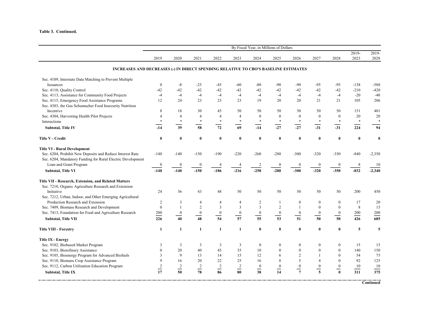#### **Table 3. Continued.**

|                                                                                     | By Fiscal Year, in Millions of Dollars |                  |                  |                  |                  |                            |                  |                  |                  |                  |                  |                  |
|-------------------------------------------------------------------------------------|----------------------------------------|------------------|------------------|------------------|------------------|----------------------------|------------------|------------------|------------------|------------------|------------------|------------------|
|                                                                                     | 2019                                   | 2020             | 2021             | 2022             | 2023             | 2024                       | 2025             | 2026             | 2027             | 2028             | 2019-<br>2023    | 2019-<br>2028    |
| INCREASES AND DECREASES (-) IN DIRECT SPENDING RELATIVE TO CBO'S BASELINE ESTIMATES |                                        |                  |                  |                  |                  |                            |                  |                  |                  |                  |                  |                  |
| Sec. 4109, Interstate Data Matching to Prevent Multiple                             |                                        |                  |                  |                  |                  |                            |                  |                  |                  |                  |                  |                  |
| Issuances                                                                           | $\mathbf{0}$                           | $-8$             | $-25$            | $-45$            | $-60$            | $-80$                      | $-90$            | $-90$            | $-95$            | $-95$            | $-138$           | $-588$           |
| Sec. 4110, Quality Control                                                          | $-42$                                  | $-42$            | $-42$            | $-42$            | $-42$            | $-42$                      | $-42$            | $-42$            | $-42$            | $-42$            | $-210$           | $-420$           |
| Sec. 4113, Assistance for Community Food Projects                                   | $-4$                                   | $-4$             | $-4$             | $-4$             | $-4$             | $-4$                       | $-4$             | $-4$             | $-4$             | $-4$             | $-20$            | $-40$            |
| Sec. 4115, Emergency Food Assistance Programs                                       | 12                                     | 24               | 23               | 23               | 23               | 19                         | 20               | 20               | 21               | 21               | 105              | 206              |
| Sec. 4303, the Gus Schumacher Food Insecurity Nutrition                             |                                        |                  |                  |                  |                  |                            |                  |                  |                  |                  |                  |                  |
| Incentive                                                                           | 8                                      | 18               | 30               | 45               | 50               | 50                         | 50               | 50               | 50               | 50               | 151              | 401              |
| Sec. 4304, Harvesting Health Pilot Projects                                         | $\overline{4}$                         | $\overline{4}$   | 4                | $\overline{4}$   | $\overline{4}$   | $\boldsymbol{0}$           | $\boldsymbol{0}$ | $\mathbf{0}$     | $\mathbf{0}$     | $\mathbf{0}$     | 20               | 20               |
| Interactions                                                                        | $\ast$                                 | $\ast$           | $\ast$           | $\ast$           | $\ast$           | $\ast$                     | $\ast$           | $\ast$           | $\ast$           | $\ast$           | $\ast$           | $\ast$           |
| <b>Subtotal, Title IV</b>                                                           | $-14$                                  | 39               | 58               | 72               | 69               | $-14$                      | $-27$            | $-27$            | $-31$            | $-31$            | 224              | 94               |
|                                                                                     |                                        |                  |                  |                  |                  |                            |                  |                  |                  |                  |                  |                  |
| <b>Title V - Credit</b>                                                             | $\bf{0}$                               | $\bf{0}$         | $\bf{0}$         | $\bf{0}$         | $\bf{0}$         | $\bf{0}$                   | $\bf{0}$         | $\bf{0}$         | $\bf{0}$         | $\bf{0}$         | $\bf{0}$         | $\bf{0}$         |
| <b>Title VI - Rural Development</b>                                                 |                                        |                  |                  |                  |                  |                            |                  |                  |                  |                  |                  |                  |
| Sec. 6204, Prohibit New Deposits and Reduce Interest Rate                           | $-140$                                 | $-140$           | $-150$           | $-190$           | $-220$           | $-260$                     | $-280$           | $-300$           | $-320$           | $-350$           | $-840$           | $-2,350$         |
| Sec. 6204, Mandatory Funding for Rural Electric Development                         |                                        |                  |                  |                  |                  |                            |                  |                  |                  |                  |                  |                  |
| Loan and Grant Program                                                              | $\bf{0}$                               | $\boldsymbol{0}$ | $\boldsymbol{0}$ |                  | $\overline{4}$   | $\overline{2}$             | $\boldsymbol{0}$ | $\boldsymbol{0}$ | $\boldsymbol{0}$ | $\bf{0}$         | 8                | 10               |
| <b>Subtotal, Title VI</b>                                                           | $-140$                                 | $-140$           | $-150$           | $-186$           | $-216$           | $-258$                     | $-280$           | $-300$           | $-320$           | $-350$           | $-832$           | $-2,340$         |
|                                                                                     |                                        |                  |                  |                  |                  |                            |                  |                  |                  |                  |                  |                  |
| Title VII - Research, Extension, and Related Matters                                |                                        |                  |                  |                  |                  |                            |                  |                  |                  |                  |                  |                  |
| Sec. 7210, Organic Agriculture Research and Extension                               |                                        |                  |                  |                  |                  |                            |                  |                  |                  |                  |                  |                  |
| Initiative                                                                          | 24                                     | 36               | 43               | 48               | 50               | 50                         | 50               | 50               | 50               | 50               | 200              | 450              |
| Sec. 7212, Urban, Indoor, and Other Emerging Agricultural                           |                                        |                  |                  |                  |                  |                            |                  |                  |                  |                  |                  |                  |
| Production Research and Extension                                                   | 2                                      | 3                | 4                | 4                | $\overline{4}$   | $\overline{2}$             | $\mathbf{1}$     | $\mathbf{0}$     | $\mathbf{0}$     | $\mathbf{0}$     | 17               | 20               |
| Sec. 7409, Biomass Research and Development                                         | $\mathbf{0}$                           | $\mathbf{1}$     | $\overline{2}$   | $\overline{3}$   | $\overline{3}$   | $\overline{3}$             | $\overline{2}$   | $\mathbf{1}$     | $\mathbf{0}$     | $\mathbf{0}$     | 8                | 15               |
| Sec. 7413, Foundation for Food and Agriculture Research                             | 200                                    | $\boldsymbol{0}$ | $\boldsymbol{0}$ | $\boldsymbol{0}$ | $\boldsymbol{0}$ | $\boldsymbol{0}$<br>$\sim$ | $\boldsymbol{0}$ | $\boldsymbol{0}$ | $\boldsymbol{0}$ | $\boldsymbol{0}$ | 200              | 200              |
| Subtotal, Title VII                                                                 | 226                                    | 40               | 48               | $\frac{1}{54}$   | $\frac{1}{57}$   | $\overline{55}$            | 53               | $\frac{1}{51}$   | 50               | 50               | 426              | 685              |
| <b>Title VIII - Forestry</b>                                                        | $\mathbf{1}$                           | 1                | $\mathbf{1}$     | 1                | 1                | $\bf{0}$                   | $\bf{0}$         | $\bf{0}$         | $\bf{0}$         | $\bf{0}$         | 5                | 5                |
| <b>Title IX - Energy</b>                                                            |                                        |                  |                  |                  |                  |                            |                  |                  |                  |                  |                  |                  |
| Sec. 9102, Biobased Market Program                                                  | 3                                      | 3                | 3                | 3                | 3                | $\boldsymbol{0}$           | $\mathbf{0}$     | $\mathbf{0}$     | $\mathbf{0}$     | $\mathbf{0}$     | 15               | 15               |
| Sec. 9103, Biorefinery Assistance                                                   | $\theta$                               | 20               | 40               | 45               | 35               | 10                         | $\boldsymbol{0}$ | $\theta$         | $\theta$         | $\mathbf{0}$     | 140              | 150              |
| Sec. 9105, Bioenergy Program for Advanced Biofuels                                  | 3                                      | 9                | 13               | 14               | 15               | 12                         | 6                | $\overline{2}$   | $\mathbf{1}$     | $\theta$         | 54               | 75               |
| Sec. 9110, Biomass Crop Assistance Program                                          | 9                                      | 16               | 20               | 22               | 25               | 16                         | $\,8\,$          | 5                | $\overline{4}$   | $\theta$         | 92               | 125              |
| Sec. 9112, Carbon Utilization Education Program                                     |                                        | $\sqrt{2}$       |                  | $\sqrt{2}$       | $\sqrt{2}$       | $\boldsymbol{0}$           | $\boldsymbol{0}$ | $\boldsymbol{0}$ | $\boldsymbol{0}$ | $\boldsymbol{0}$ | $10\,$           | 10               |
| <b>Subtotal, Title IX</b>                                                           | $\frac{2}{17}$                         | $\overline{50}$  | $\frac{2}{78}$   | $rac{1}{86}$     | $\frac{1}{80}$   | $\frac{1}{38}$             | $\frac{1}{14}$   | $\overline{7}$   | $\overline{5}$   | $\mathbf{0}$     | $\overline{311}$ | $\overline{375}$ |
|                                                                                     |                                        |                  |                  |                  |                  |                            |                  |                  |                  |                  |                  |                  |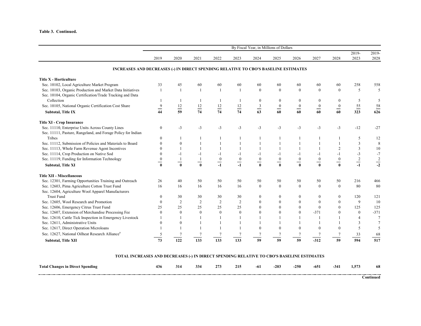#### **Table 3. Continued.**

|                                                                                     | By Fiscal Year, in Millions of Dollars |                                     |                                 |                           |                 |                          |                                              |                  |                              |                                   |                  |                  |
|-------------------------------------------------------------------------------------|----------------------------------------|-------------------------------------|---------------------------------|---------------------------|-----------------|--------------------------|----------------------------------------------|------------------|------------------------------|-----------------------------------|------------------|------------------|
|                                                                                     | 2019                                   | 2020                                | 2021                            | 2022                      | 2023            | 2024                     | 2025                                         | 2026             | 2027                         | 2028                              | $2019 -$<br>2023 | 2019-<br>2028    |
| INCREASES AND DECREASES (-) IN DIRECT SPENDING RELATIVE TO CBO'S BASELINE ESTIMATES |                                        |                                     |                                 |                           |                 |                          |                                              |                  |                              |                                   |                  |                  |
| <b>Title X - Horticulture</b>                                                       |                                        |                                     |                                 |                           |                 |                          |                                              |                  |                              |                                   |                  |                  |
| Sec. 10102, Local Agriculture Market Program                                        | 33                                     | 45                                  | 60                              | 60                        | 60              | 60                       | 60                                           | 60               | 60                           | 60                                | 258              | 558              |
| Sec. 10103, Organic Production and Market Data Initiatives                          | $\overline{1}$                         | $\overline{1}$                      | $\overline{1}$                  | $\overline{1}$            |                 | $\theta$                 | $\theta$                                     | $\theta$         | $\theta$                     | $\theta$                          | 5                | 5                |
| Sec. 10104, Organic Certification/Trade Tracking and Data                           |                                        |                                     |                                 |                           |                 |                          |                                              |                  |                              |                                   |                  |                  |
| Collection                                                                          |                                        |                                     | -1                              |                           |                 | $\boldsymbol{0}$         | $\bf{0}$                                     | $\theta$         | $\mathbf{0}$                 | 0                                 | 5                | 5                |
| Sec. 10105, National Organic Certification Cost Share                               | $\frac{9}{2}$                          | $\frac{12}{1}$                      |                                 | $\frac{12}{1}$            |                 |                          | $\underline{\hspace{1mm}0}$                  | $\overline{0}$   | $\underline{\hspace{1mm} 0}$ | $\underline{\hspace{1mm} 0}$      | $\frac{55}{1}$   |                  |
| <b>Subtotal, Title IX</b>                                                           | 44                                     | 59                                  | $\frac{12}{74}$                 | 74                        | $\frac{12}{74}$ | $\frac{3}{63}$           | 60                                           | 60               | 60                           | $\overline{60}$                   | 323              | $\frac{58}{626}$ |
| <b>Title XI - Crop Insurance</b>                                                    |                                        |                                     |                                 |                           |                 |                          |                                              |                  |                              |                                   |                  |                  |
| Sec. 11110, Enterprise Units Across County Lines                                    | $\boldsymbol{0}$                       | $-3$                                | $-3$                            | $-3$                      | $-3$            | $-3$                     | $-3$                                         | $-3$             | $-3$                         | $-3$                              | $-12$            | $-27$            |
| Sec. 11111, Pasture, Rangeland, and Forage Policy for Indian                        |                                        |                                     |                                 |                           |                 |                          |                                              |                  |                              |                                   |                  |                  |
| Tribes                                                                              | $\Omega$                               |                                     |                                 |                           |                 |                          |                                              |                  |                              |                                   | 5                | 12               |
| Sec. 11112, Submission of Policies and Materials to Board                           | $\Omega$                               | $\theta$                            |                                 |                           |                 |                          |                                              |                  |                              |                                   | 3                | $\,$ 8 $\,$      |
| Sec. 11113, Whole Farm Revenue Agent Incentives                                     |                                        |                                     | $\mathbf{1}$                    |                           |                 | $\mathbf{1}$             |                                              |                  |                              | 2                                 | 3                | 10               |
| Sec. 11114, Crop Production on Native Sod                                           |                                        | $-1$                                | -1                              | $-1$                      |                 | $-1$                     | -1                                           |                  | $-1$                         |                                   | $-3$             | $-7$             |
| Sec. 11119, Funding for Information Technology                                      | $\boldsymbol{0}$                       |                                     | $\mathbf{1}$                    | $\boldsymbol{0}$          | $\frac{0}{-}$   | $\boldsymbol{0}$         | $\boldsymbol{0}$                             | $\boldsymbol{0}$ | $\boldsymbol{0}$             | $\boldsymbol{0}$                  |                  |                  |
| <b>Subtotal, Title XI</b>                                                           | —<br>$\mathbf{0}$                      | $\hspace{0.05cm} =$<br>$\mathbf{0}$ | $\qquad \qquad$<br>$\mathbf{0}$ | $\hspace{0.05cm}$<br>$-1$ | $-1$            | $\equiv$<br>$\mathbf{0}$ | $\qquad \qquad \blacksquare$<br>$\mathbf{0}$ | -                | -<br>$\mathbf{0}$            | $\hspace{0.05cm}$<br>$\mathbf{0}$ | $\frac{2}{-1}$   | $\frac{2}{-2}$   |
| <b>Title XII - Miscellaneous</b>                                                    |                                        |                                     |                                 |                           |                 |                          |                                              |                  |                              |                                   |                  |                  |
| Sec. 12301, Farming Opportunities Training and Outreach                             | 26                                     | 40                                  | 50                              | 50                        | 50              | 50                       | 50                                           | 50               | 50                           | 50                                | 216              | 466              |
| Sec. 12603, Pima Agriculture Cotton Trust Fund                                      | 16                                     | 16                                  | 16                              | 16                        | 16              | $\mathbf{0}$             | $\mathbf{0}$                                 | $\mathbf{0}$     | $\mathbf{0}$                 | $\mathbf{0}$                      | 80               | 80               |
| Sec. 12604, Agriculture Wool Apparel Manufacturers                                  |                                        |                                     |                                 |                           |                 |                          |                                              |                  |                              |                                   |                  |                  |
| <b>Trust Fund</b>                                                                   | $\theta$                               | 30                                  | 30                              | 30                        | 30              | $\mathbf{0}$             | $\mathbf{0}$                                 | $\bf{0}$         | $\mathbf{0}$                 | $\mathbf{0}$                      | 120              | 121              |
| Sec. 12605, Wool Research and Promotion                                             | $\theta$                               | 2                                   | $\overline{2}$                  | $\overline{2}$            | 2               | $\mathbf{0}$             | $\mathbf{0}$                                 | $\mathbf{0}$     | $\mathbf{0}$                 | $\theta$                          | 9                | 10               |
| Sec. 12606, Emergency Citrus Trust Fund                                             | 25                                     | 25                                  | 25                              | 25                        | 25              | $\mathbf{0}$             | $\mathbf{0}$                                 | $\mathbf{0}$     | $\mathbf{0}$                 | $\theta$                          | 125              | 125              |
| Sec. 12607, Extension of Merchandise Processing Fee                                 | $\Omega$                               | $\theta$                            | $\mathbf{0}$                    | $\mathbf{0}$              | $\mathbf{0}$    | $\theta$                 | $\mathbf{0}$                                 | $\theta$         | $-371$                       | $\theta$                          | $\mathbf{0}$     | $-371$           |
| Sec. 12610, Cattle Tick Inspection in Emergency Livestock                           |                                        |                                     |                                 |                           |                 |                          |                                              |                  |                              |                                   | $\overline{4}$   | $\overline{7}$   |
| Sec. 12611, Administrative Units                                                    | $\Omega$                               | $\Omega$                            |                                 |                           |                 |                          |                                              |                  |                              |                                   |                  | $\tau$           |
| Sec. 12617, Direct Operation Microloans                                             |                                        |                                     |                                 |                           |                 | $\theta$                 | $\theta$                                     |                  | $\Omega$                     | $\Omega$                          | 5                | 5                |
| Sec. 12627, National Oilheat Research Alliance <sup>a</sup>                         |                                        |                                     |                                 |                           |                 |                          |                                              |                  |                              |                                   | 33               | 68               |
| <b>Subtotal, Title XII</b>                                                          | 73                                     | 122                                 | 133                             | 133                       | 133             | 59                       | 59                                           | 59               | $-312$                       | 59                                | 594              | 517              |

#### **TOTAL INCREASES AND DECREASES (-) IN DIRECT SPENDING RELATIVE TO CBO'S BASELINE ESTIMATES**

| <b>Total Changes</b><br>$\mathbf{r}$<br>s in Direct Spending | 436 | 314 | 334 | 273<br>. | 215 | -01 | $-203$ | $-250$ | --<br>-651 | $-34^{\circ}$ | F73 | 68 |
|--------------------------------------------------------------|-----|-----|-----|----------|-----|-----|--------|--------|------------|---------------|-----|----|
|                                                              |     |     |     |          |     |     |        |        |            |               |     |    |